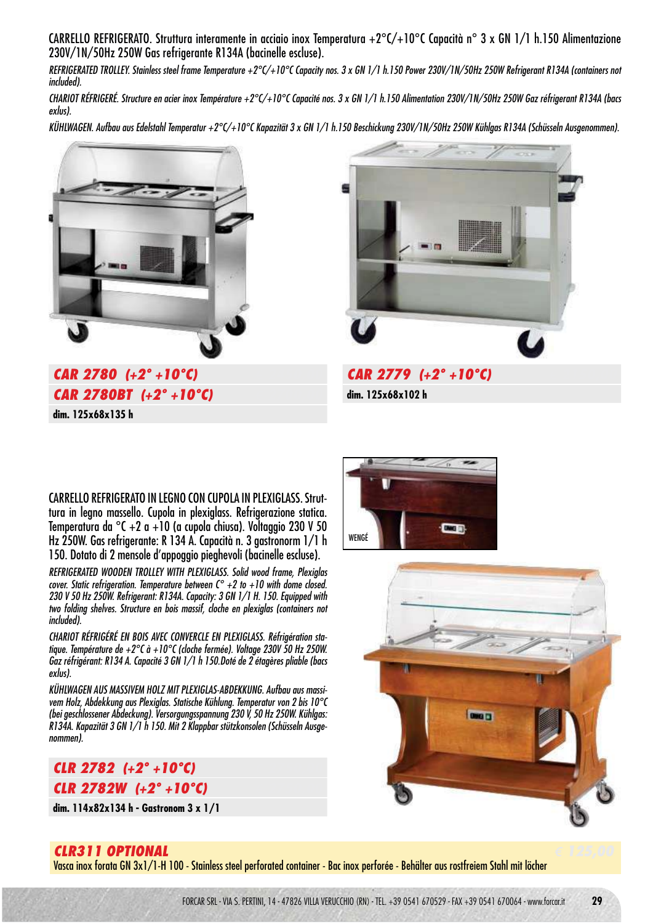CARRELLO REFRIGERATO. Struttura interamente in acciaio inox Temperatura +2°C/+10°C Capacità n° 3 x GN 1/1 h.150 Alimentazione 230V/1N/50Hz 250W Gas refrigerante R134A (bacinelle escluse).

REFRIGERATED TROLLEY. Stainless steel frame Temperature +2°C/+10°C Capacity nos. 3 x GN 1/1 h.150 Power 230V/1N/50Hz 250W Refrigerant R134A (containers not included).

CHARIOT RÉFRIGERÉ. Structure en acier inox Température +2°C/+10°C Capacité nos. 3 x GN 1/1 h.150 Alimentation 230V/1N/50Hz 250W Gaz réfrigerant R134A (bacs exlus).

KÜHLWAGEN. Aufbau aus Edelstahl Temperatur +2°C/+10°C Kapazität 3 x GN 1/1 h.150 Beschickung 230V/1N/50Hz 250W Kühlgas R134A (Schüsseln Ausgenommen).



**CAR 2780 (+2° +10°C) € 2450,00 CAR 2780BT (+2° +10°C) € 2700,00 dim. 125x68x135 h**



**dim. 125x68x102 h**

CARRELLO REFRIGERATO IN LEGNO CON CUPOLA IN PLEXIGLASS. Struttura in legno massello. Cupola in plexiglass. Refrigerazione statica. Temperatura da °C +2 a +10 (a cupola chiusa). Voltaggio 230 V 50 Hz 250W. Gas refrigerante: R 134 A. Capacità n. 3 gastronorm 1/1 h 150. Dotato di 2 mensole d'appoggio pieghevoli (bacinelle escluse).

REFRIGERATED WOODEN TROLLEY WITH PLEXIGLASS. Solid wood frame, Plexiglas cover. Static refrigeration. Temperature between  $C^{\circ}$  +2 to +10 with dome closed. 230 V 50 Hz 250W. Refrigerant: R134A. Capacity: 3 GN 1/1 H. 150. Equipped with two folding shelves. Structure en bois massif, cloche en plexiglas (containers not included).

CHARIOT RÉFRIGÉRÉ EN BOIS AVEC CONVERCLE EN PLEXIGLASS. Réfrigération statique. Température de +2°C à +10°C (cloche fermée). Voltage 230V 50 Hz 250W. Gaz réfrigérant: R134 A. Capacité 3 GN 1/1 h 150.Doté de 2 étagères pliable (bacs exlus).

KÜHLWAGEN AUS MASSIVEM HOLZ MIT PLEXIGLAS-ABDEKKUNG. Aufbau aus massivem Holz, Abdekkung aus Plexiglas. Statische Kühlung. Temperatur von 2 bis 10°C (bei geschlossener Abdeckung). Versorgungsspannung 230 V, 50 Hz 250W. Kühlgas: R134A. Kapazität 3 GN 1/1 h 150. Mit 2 Klappbar stützkonsolen (Schüsseln Ausgenommen).



**dim. 114x82x134 h - Gastronom 3 x 1/1**





### **CLR311 OPTIONAL € 125,00**

Vasca inox forata GN 3x1/1-H 100 - Stainless steel perforated container - Bac inox perforée - Behälter aus rostfreiem Stahl mit löcher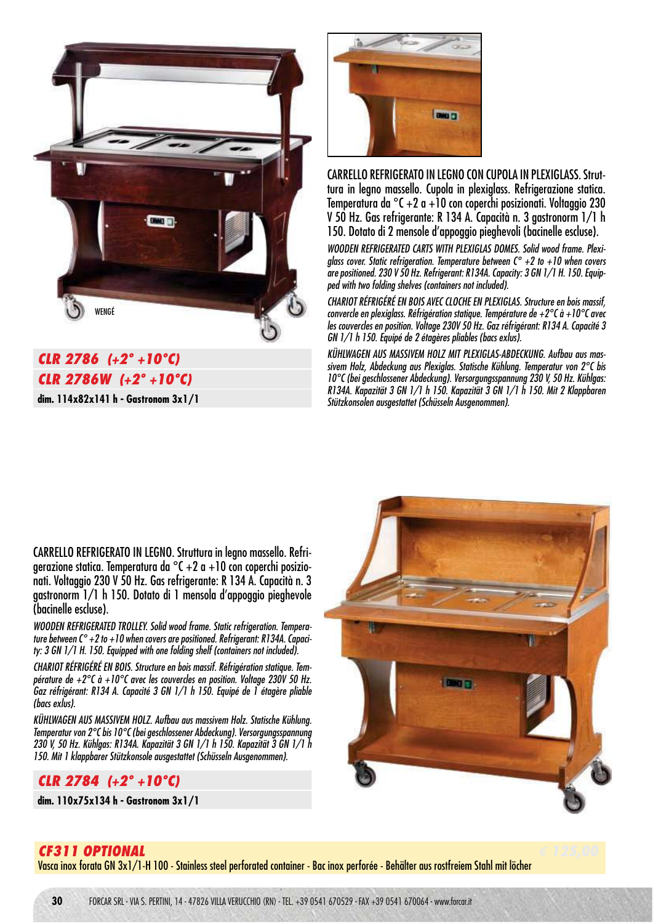

# **CLR 2786** (+2° +10°C) **CLR 2786W (+2° +10°C) € 2400,00**

**dim. 114x82x141 h - Gastronom 3x1/1**



CARRELLO REFRIGERATO IN LEGNO CON CUPOLA IN PLEXIGLASS. Struttura in legno massello. Cupola in plexiglass. Refrigerazione statica. Temperatura da °C +2 a +10 con coperchi posizionati. Voltaggio 230 V 50 Hz. Gas refrigerante: R 134 A. Capacità n. 3 gastronorm 1/1 h 150. Dotato di 2 mensole d'appoggio pieghevoli (bacinelle escluse).

WOODEN REFRIGERATED CARTS WITH PLEXIGLAS DOMES. Solid wood frame. Plexiglass cover. Static refrigeration. Temperature between  $C^{\circ}$  +2 to +10 when covers are positioned. 230 V 50 Hz. Refrigerant: R134A. Capacity: 3 GN 1/1 H. 150. Equipped with two folding shelves (containers not included).

CHARIOT RÉFRIGÉRÉ EN BOIS AVEC CLOCHE EN PLEXIGLAS. Structure en bois massif, convercle en plexiglass. Réfrigération statique. Température de  $+2^{\circ}$ C à  $+10^{\circ}$ C avec les couvercles en position. Voltage 230V 50 Hz. Gaz réfrigérant: R134 A. Capacité 3 GN 1/1 h 150. Equipé de 2 étagères pliables (bacs exlus).

KÜHLWAGEN AUS MASSIVEM HOLZ MIT PLEXIGLAS-ABDECKUNG. Aufbau aus massivem Holz, Abdeckung aus Plexiglas. Statische Kühlung. Temperatur von 2°C bis 10°C (bei geschlossener Abdeckung). Versorgungsspannung 230 V, 50 Hz. Kühlgas: R134A. Kapazität 3 GN 1/1 h 150. Kapazität 3 GN 1/1 h 150. Mit 2 Klappbaren Stützkonsolen ausgestattet (Schüsseln Ausgenommen).

CARRELLO REFRIGERATO IN LEGNO. Struttura in legno massello. Refrigerazione statica. Temperatura da  $\degree$ C +2 a +10 con coperchi posizionati. Voltaggio 230 V 50 Hz. Gas refrigerante: R 134 A. Capacità n. 3 gastronorm 1/1 h 150. Dotato di 1 mensola d'appoggio pieghevole (bacinelle escluse).

WOODEN REFRIGERATED TROLLEY. Solid wood frame. Static refrigeration. Temperature between  $C^{\circ}$  +2 to +10 when covers are positioned. Refrigerant: R134A. Capacity: 3 GN 1/1 H. 150. Equipped with one folding shelf (containers not included).

CHARIOT RÉFRIGÉRÉ EN BOIS. Structure en bois massif. Réfrigération statique. Température de +2°C à +10°C avec les couvercles en position. Voltage 230V 50 Hz. Gaz réfrigérant: R134 A. Capacité 3 GN 1/1 h 150. Equipé de 1 étagère pliable (bacs exlus).

KÜHLWAGEN AUS MASSIVEM HOLZ. Aufbau aus massivem Holz. Statische Kühlung. Temperatur von 2°C bis 10°C (bei geschlossener Abdeckung). Versorgungsspannung 230 V, 50 Hz. Kühlgas: R134A. Kapazität 3 GN 1/1 h 150. Kapazität 3 GN 1/1 h 150. Mit 1 klappbarer Stützkonsole ausgestattet (Schüsseln Ausgenommen).

#### **CLR 2784 (+2° +10°C) € 2500,00**

**dim. 110x75x134 h - Gastronom 3x1/1**



### **CF311 OPTIONAL € 125,00**

Vasca inox forata GN 3x1/1-H 100 - Stainless steel perforated container - Bac inox perforée - Behälter aus rostfreiem Stahl mit löcher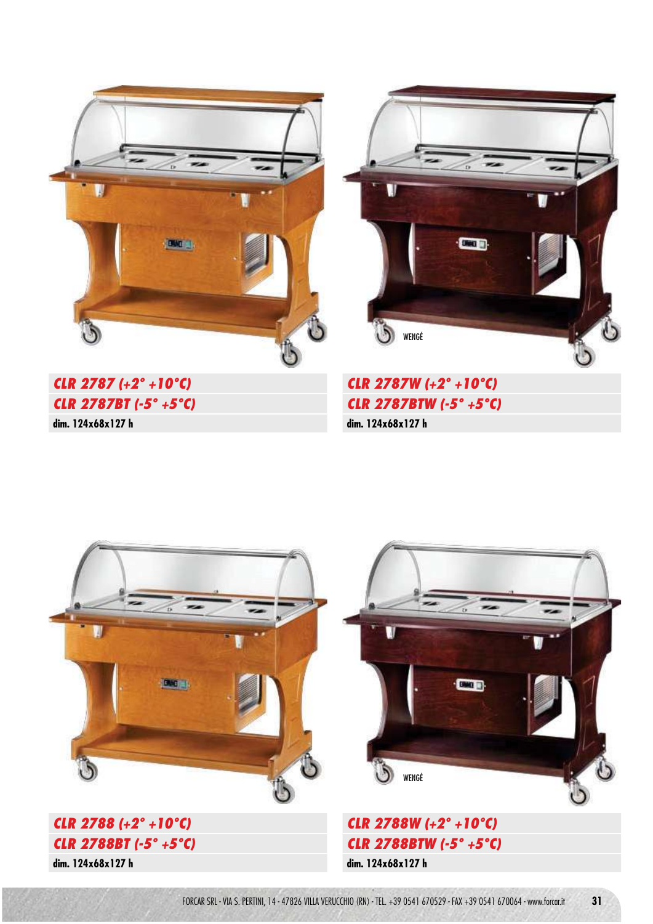



**CLR 2787 (+2° +10°C) CLR 2787BT (-5° +5°C) dim. 124x68x127 h**

**CLR 2787W (+2° +10°C) CLR 2787BTW (-5° +5°C) dim. 124x68x127 h**

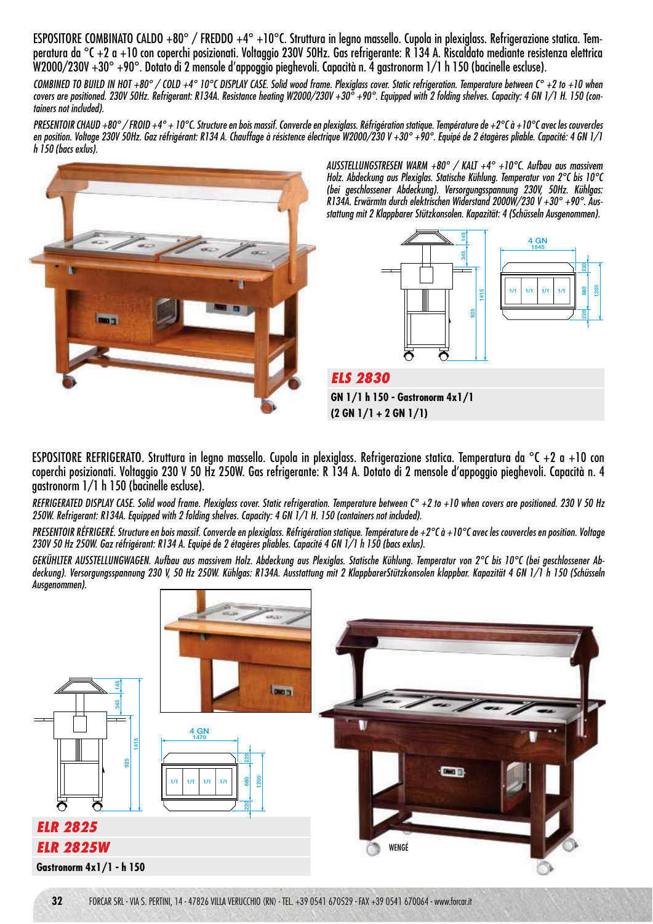ESPOSITORE COMBINATO CALDO +80° / FREDDO +4° +10°C. Struttura in legno massello. Cupola in plexiglass. Refrigerazione statica. Temperatura da °C +2 a +10 con coperchi posizionati. Voltaggio 230V 50Hz. Gas refrigerante: R 134 A. Riscaldato mediante resistenza elettrica W2000/230V +30° +90°. Dotato di 2 mensole d'appoggio pieghevoli. Capacità n. 4 gastronorm 1/1 h 150 (bacinelle escluse).

COMBINED TO BUILD IN HOT +80° / COLD +4° 10°C DISPLAY CASE. Solid wood frame. Plexialass cover. Static refrigeration. Temperature between C° +2 to +10 when covers are positioned. 230V 50Hz. Refrigerant: R134A. Resistance heating W2000/230V +30 $^{\circ}$  +90°. Equipped with 2 folding shelves. Capacity: 4 GN 1/1 H. 150 (containers not included).

PRESENTOIR CHAUD +80° / FROID +4° + 10°C. Structure en bois massif. Convercle en plexiglass. Réfrigération statique. Température de +2°C à +10°C avec les couvercles en position. Voltage 230V 50Hz. Gaz réfrigérant: R134 A. Chauffage à résistence électrique W2000/230 V +30° +90°. Equipé de 2 étagères pliable. Capacité: 4 GN 1/1 h 150 (bacs exlus).



AUSSTELLUNGSTRESEN WARM +80° / KALT +4° +10°C. Aufbau aus massivem Holz. Abdeckung aus Plexiglas. Statische Kühlung. Temperatur von 2°C bis 10°C (bei geschlossener Abdeckung). Versorgungsspannung 230V, 50Hz. Kühlgas: R134A. Erwärmtn durch elektrischen Widerstand 2000W/230 V +30° +90°. Ausstattung mit 2 Klappbarer Stützkonsolen. Kapazität: 4 (Schüsseln Ausgenommen).



**GN 1/1 h 150 - Gastronorm 4x1/1 (2 GN 1/1 + 2 GN 1/1)**

ESPOSITORE REFRIGERATO. Struttura in legno massello. Cupola in plexiglass. Refrigerazione statica. Temperatura da °C +2 a +10 con coperchi posizionati. Voltaggio 230 V 50 Hz 250W. Gas refrigerante: R 134 A. Dotato di 2 mensole d'appoggio pieghevoli. Capacità n. 4 gastronorm 1/1 h 150 (bacinelle escluse).

REFRIGERATED DISPLAY CASE. Solid wood frame. Plexiglass cover. Static refrigeration. Temperature between  $C^{\circ}$  +2 to +10 when covers are positioned. 230 V 50 Hz 250W. Refrigerant: R134A. Equipped with 2 folding shelves. Capacity: 4 GN 1/1 H. 150 (containers not included).

PRESENTOIR RÉFRIGERÉ. Structure en bois massif. Convercle en plexiglass. Réfrigération statique. Température de +2°C à +10°C avec les couvercles en position. Voltage 230V 50 Hz 250W. Gaz réfrigérant: R134 A. Equipé de 2 étagères pliables. Capacité 4 GN 1/1 h 150 (bacs exlus).

GEKÜHLTER AUSSTELLUNGWAGEN. Aufbau aus massivem Holz. Abdeckung aus Plexiglas. Statische Kühlung. Temperatur von 2°C bis 10°C (bei geschlossener Abdeckung). Versorgungsspannung 230 V, 50 Hz 250W. Kühlgas: R134A. Ausstattung mit 2 KlappbarerStützkonsolen klappbar. Kapazität 4 GN 1/1 h 150 (Schüsseln Ausgenommen).

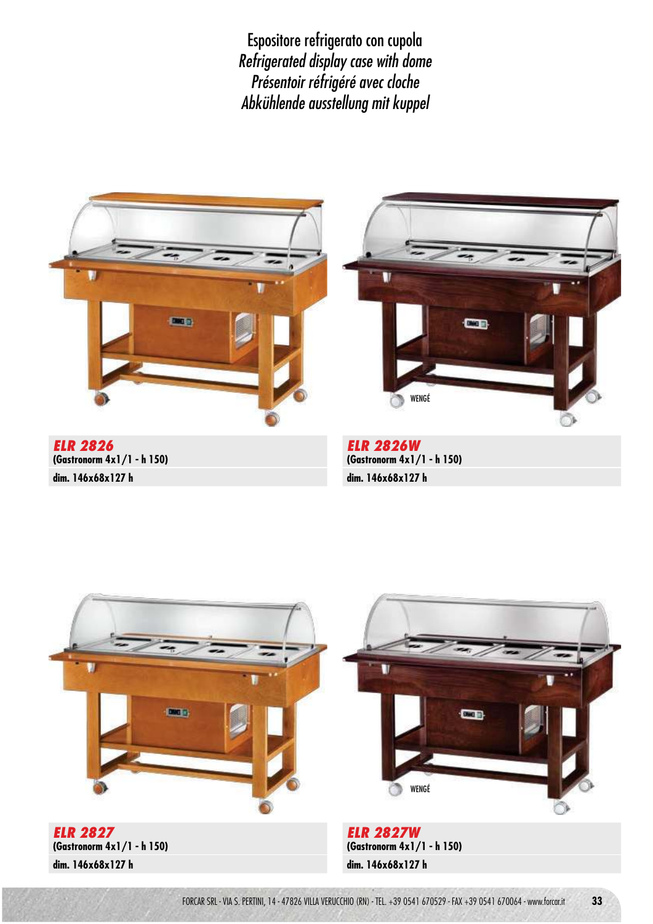Espositore refrigerato con cupola Refrigerated display case with dome Présentoir réfrigéré avec cloche Abkühlende ausstellung mit kuppel



**dim. 146x68x127 h**

**dim. 146x68x127 h**

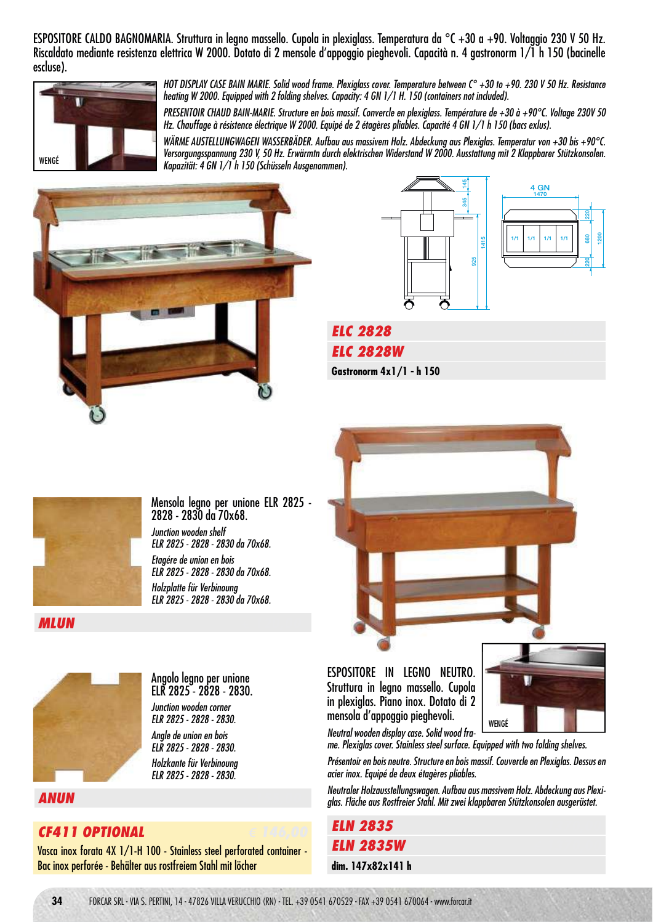ESPOSITORE CALDO BAGNOMARIA. Struttura in legno massello. Cupola in plexiglass. Temperatura da °C +30 a +90. Voltaggio 230 V 50 Hz. Riscaldato mediante resistenza elettrica W 2000. Dotato di 2 mensole d'appoggio pieghevoli. Capacità n. 4 gastronorm 1/1 h 150 (bacinelle escluse).



HOT DISPLAY CASE BAIN MARIE. Solid wood frame. Plexiglass cover. Temperature between C° +30 to +90. 230 V 50 Hz. Resistance heating W 2000. Equipped with 2 folding shelves. Capacity: 4 GN 1/1 H. 150 (containers not included).

PRESENTOIR CHAUD BAIN-MARIE. Structure en bois massif. Convercle en plexiglass. Température de +30 à +90°C. Voltage 230V 50 Hz. Chauffage à résistence électrique W 2000. Equipé de 2 étagères pliables. Capacité 4 GN 1/1 h 150 (bacs exlus).

WÄRME AUSTELLUNGWAGEN WASSERBÄDER. Aufbau aus massivem Holz. Abdeckung aus Plexiglas. Temperatur von +30 bis +90°C. Versorgungsspannung 230 V, 50 Hz. Erwärmtn durch elektrischen Widerstand W 2000. Ausstattung mit 2 Klappbarer Stützkonsolen. Kapazität: 4 GN 1/1 h 150 (Schüsseln Ausgenommen). WENGÉ







**ELC 2828 € 1900,00 ELC 2828W € 1900,00 Gastronorm 4x1/1 - h 150**



Mensola legno per unione ELR 2825 2828 - 2830 da 70x68. Junction wooden shelf ELR 2825 - 2828 - 2830 da 70x68. Etagére de union en bois ELR 2825 - 2828 - 2830 da 70x68. Holzplatte für Verbinoung ELR 2825 - 2828 - 2830 da 70x68.



**MLUN € 120,00**



**ANUN € 155,00**

### **CF411 OPTIONAL € 146,00**

Vasca inox forata 4X 1/1-H 100 - Stainless steel perforated container - Bac inox perforée - Behälter aus rostfreiem Stahl mit löcher

ESPOSITORE IN LEGNO NEUTRO. Struttura in legno massello. Cupola in plexiglas. Piano inox. Dotato di 2 mensola d'appoggio pieghevoli.



Neutral wooden display case. Solid wood frame. Plexiglas cover. Stainless steel surface. Equipped with two folding shelves.

Présentoir en bois neutre. Structure en bois massif. Couvercle en Plexiglas. Dessus en acier inox. Equipé de deux étagères pliables.

Neutraler Holzausstellungswagen. Aufbau aus massivem Holz. Abdeckung aus Plexiglas. Fläche aus Rostfreier Stahl. Mit zwei klappbaren Stützkonsolen ausgerüstet.

**ELN 2835 € 1370,00 ELN 2835W € 1370,00 dim. 147x82x141 h**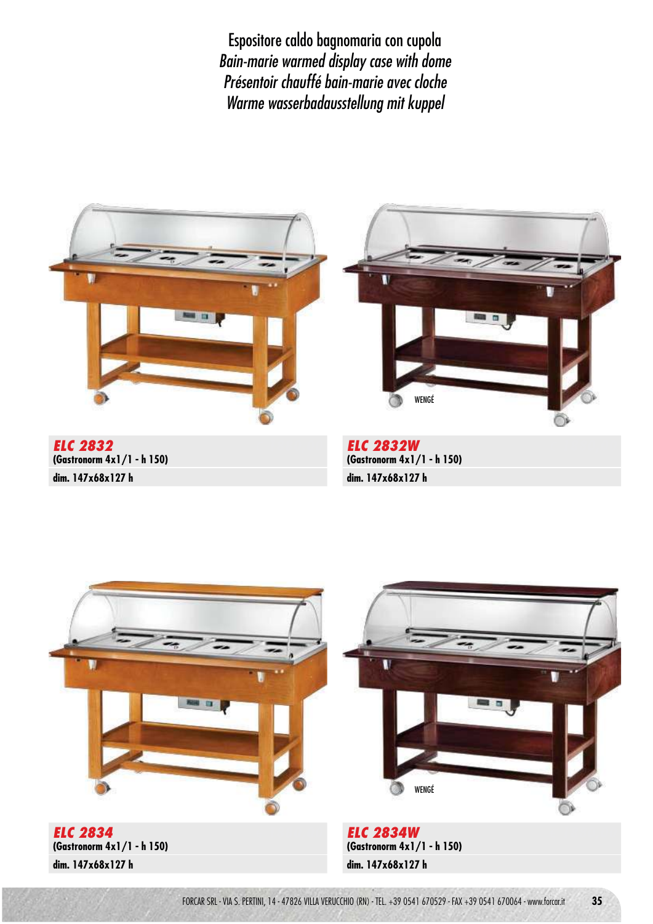Espositore caldo bagnomaria con cupola Bain-marie warmed display case with dome Présentoir chauffé bain-marie avec cloche Warme wasserbadausstellung mit kuppel



**dim. 147x68x127 h**

**dim. 147x68x127 h**

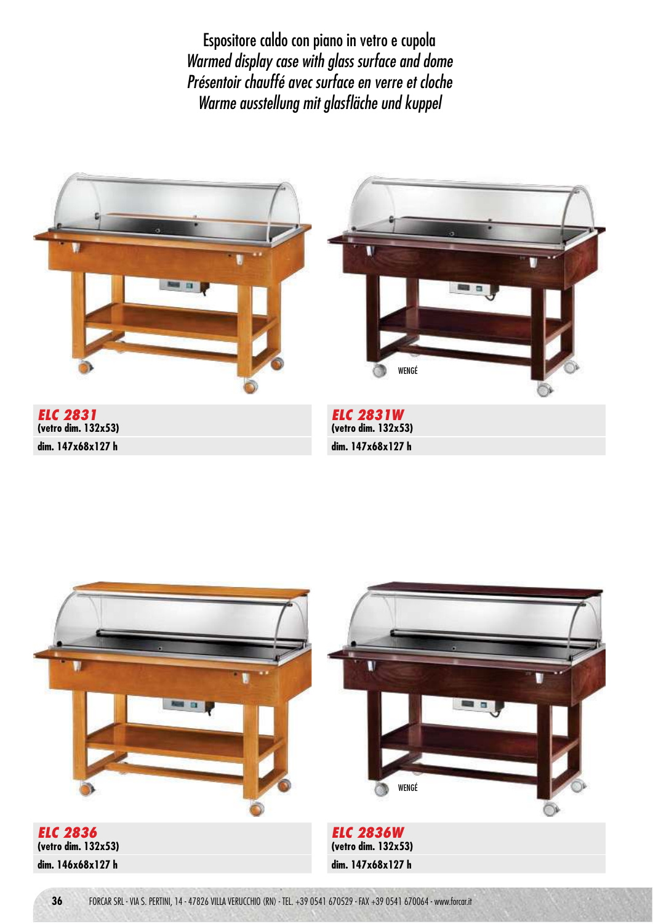Espositore caldo con piano in vetro e cupola Warmed display case with glass surface and dome Présentoir chauffé avec surface en verre et cloche Warme ausstellung mit glasfläche und kuppel



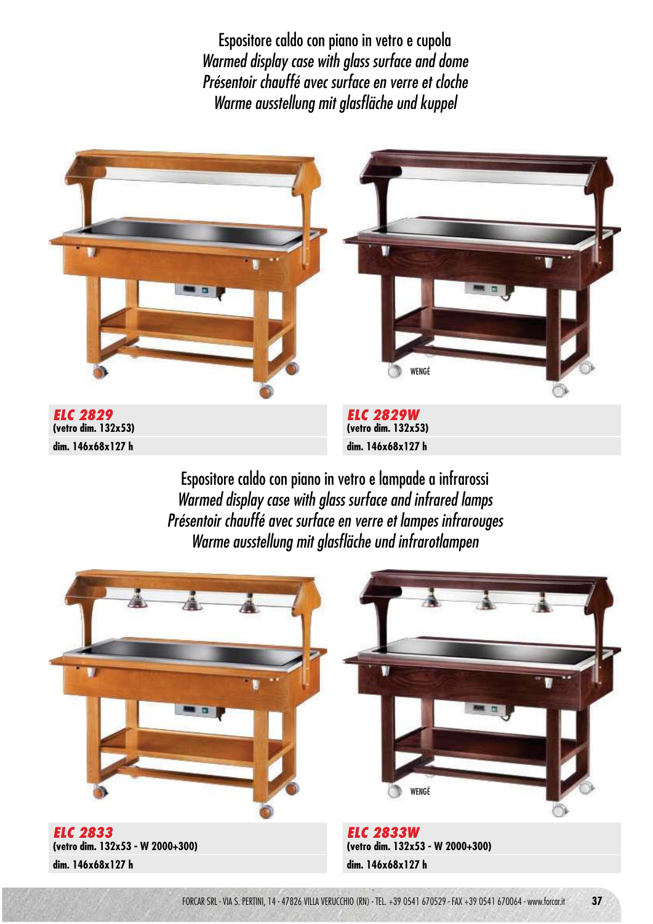Espositore caldo con piano in vetro e cupola Warmed display case with glass surface and dome Présentoir chauffé avec surface en verre et cloche Warme ausstellung mit glasfläche und kuppel



Espositore caldo con piano in vetro e lampade a infrarossi Warmed display case with glass surface and infrared lamps Présentoir chauffé avec surface en verre et lampes infrarouges Warme ausstellung mit glasfläche und infrarotlampen

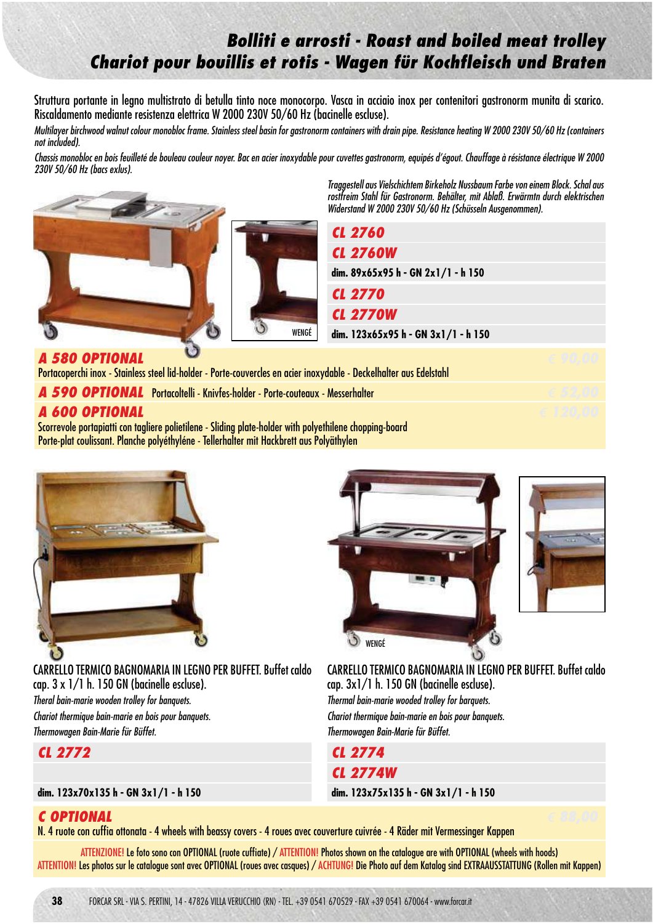# **Bolliti e arrosti - Roast and boiled meat trolley Chariot pour bouillis et rotis - Wagen für Kochfleisch und Braten**

Struttura portante in legno multistrato di betulla tinto noce monocorpo. Vasca in acciaio inox per contenitori gastronorm munita di scarico. Riscaldamento mediante resistenza elettrica W 2000 230V 50/60 Hz (bacinelle escluse).

Multilayer birchwood walnut colour monobloc frame. Stainless steel basin for gastronorm containers with drain pipe. Resistance heating W 2000 230V 50/60 Hz (containers not included).

Chassis monobloc en bois feuilleté de bouleau couleur noyer. Bac en acier inoxydable pour cuvettes gastronorm, equipés d'égout. Chauffage à résistance électrique W 2000 230V 50/60 Hz (bacs exlus).



Traggestell aus Vielschichtem Birkeholz Nussbaum Farbe von einem Block. Schal aus rostfreim Stahl für Gastronorm. Behälter, mit Ablaß. Erwärmtn durch elektrischen Widerstand W 2000 230V 50/60 Hz (Schüsseln Ausgenommen).

|                                                                                                                                       | <b>CL 2760</b>                      |  |
|---------------------------------------------------------------------------------------------------------------------------------------|-------------------------------------|--|
|                                                                                                                                       | <b>CL 2760W</b>                     |  |
|                                                                                                                                       | dim. 89x65x95 h - GN 2x1/1 - h 150  |  |
|                                                                                                                                       | <b>CL 2770</b>                      |  |
|                                                                                                                                       | <b>CL 2770W</b>                     |  |
| WENGÉ                                                                                                                                 | dim. 123x65x95 h - GN 3x1/1 - h 150 |  |
| A 580 OPTIONAL<br>Portacoperchi inox - Stainless steel lid-holder - Porte-couvercles en acier inoxydable - Deckelhalter aus Edelstahl |                                     |  |
| A 590 OPTIONAL Portacoltelli - Knivfes-holder - Porte-couteaux - Messerhalter                                                         |                                     |  |

#### Portacoperchi inox - Stainless steel lid-holder - Porte-couvercle

| <b>TUTHCOPOTENT INVALUATION THE INTERNATIONAL CONTRACT CONTRACT INVARIANCE DUCKCHING INVITATION IN</b>  |  |  |
|---------------------------------------------------------------------------------------------------------|--|--|
| A 590 OPTIONAL Portacoltelli - Knivfes-holder - Porte-couteaux - Messerhalter                           |  |  |
| A 600 OPTIONAL                                                                                          |  |  |
| Scorrevole portapiatti con tagliere polietilene - Sliding plate-holder with polyethilene chopping-board |  |  |
| Porte-plat coulissant. Planche polyéthyléne - Tellerhalter mit Hackbrett aus Polyäthylen                |  |  |



CARRELLO TERMICO BAGNOMARIA IN LEGNO PER BUFFET. Buffet caldo cap. 3 x 1/1 h. 150 GN (bacinelle escluse). Theral bain-marie wooden trolley for banquets. Chariot thermique bain-marie en bois pour banquets. Thermowagen Bain-Marie für Büffet.

**CL 2772 € 1670,00**

#### **dim. 123x70x135 h - GN 3x1/1 - h 150**

WENGÉÒ CARRELLO TERMICO BAGNOMARIA IN LEGNO PER BUFFET. Buffet caldo cap. 3x1/1 h. 150 GN (bacinelle escluse). Thermal bain-marie wooded trolley for barquets.

Chariot thermique bain-marie en bois pour banquets. Thermowagen Bain-Marie für Büffet.



**dim. 123x75x135 h - GN 3x1/1 - h 150**

## **C OPTIONAL € 88,00**

N. 4 ruote con cuffia ottonata - 4 wheels with beassy covers - 4 roues avec couverture cuivrée - 4 Räder mit Vermessinger Kappen

ATTENZIONE! Le foto sono con OPTIONAL (ruote cuffiate) / ATTENTION! Photos shown on the catalogue are with OPTIONAL (wheels with hoods) ATTENTION! Les photos sur le catalogue sont avec OPTIONAL (roues avec casques) / ACHTUNG! Die Photo auf dem Katalog sind EXTRAAUSSTATTUNG (Rollen mit Kappen)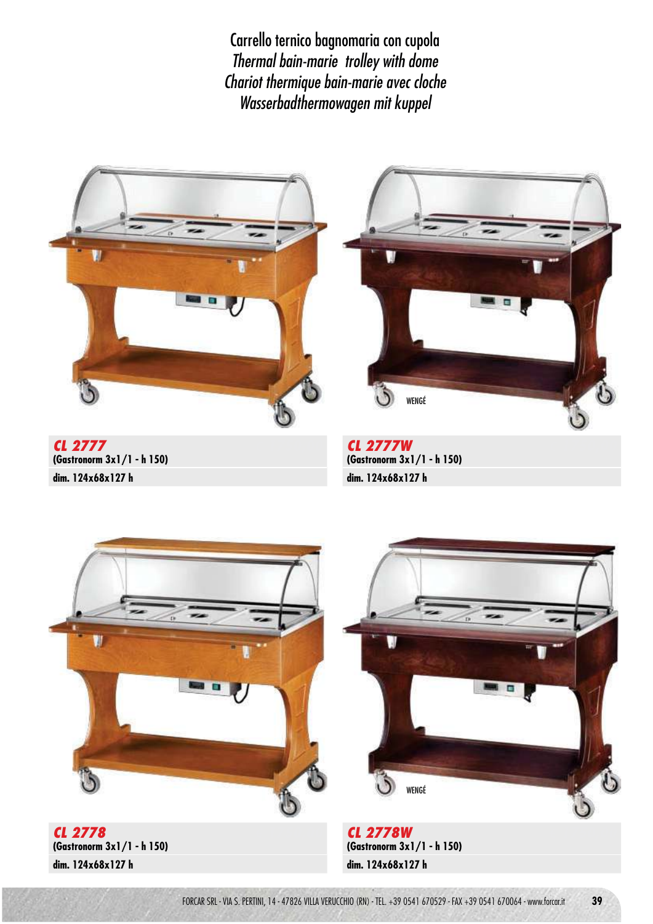Carrello ternico bagnomaria con cupola Thermal bain-marie trolley with dome Chariot thermique bain-marie avec cloche Wasserbadthermowagen mit kuppel



**CL 2777 (Gastronorm 3x1/1 - h 150) dim. 124x68x127 h**



**CL 2777W (Gastronorm 3x1/1 - h 150) dim. 124x68x127 h**



**CL 2778 (Gastronorm 3x1/1 - h 150) dim. 124x68x127 h**

**CL 2778W (Gastronorm 3x1/1 - h 150) dim. 124x68x127 h**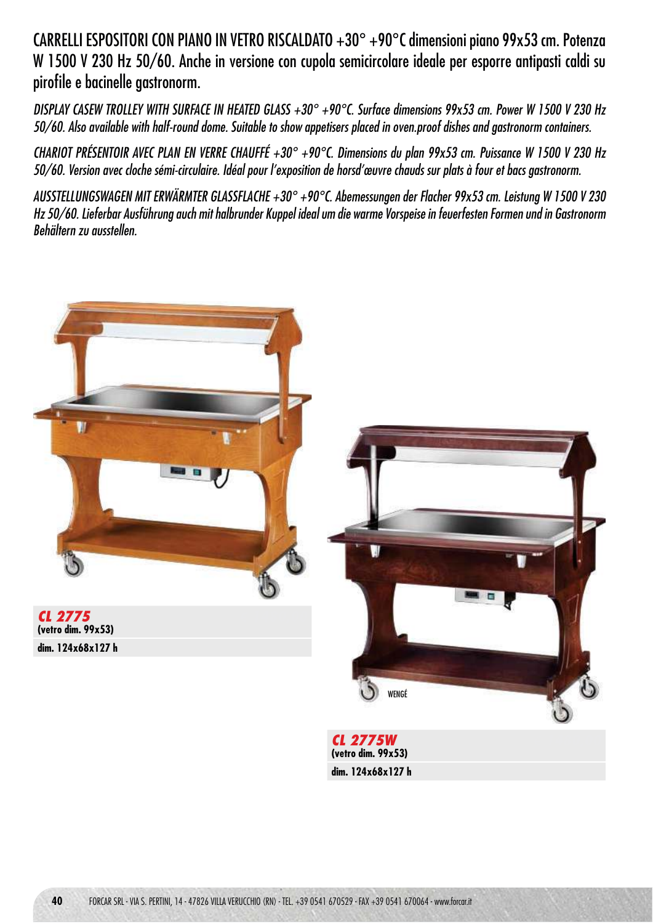CARRELLI ESPOSITORI CON PIANO IN VETRO RISCALDATO +30° +90°C dimensioni piano 99x53 cm. Potenza W 1500 V 230 Hz 50/60. Anche in versione con cupola semicircolare ideale per esporre antipasti caldi su pirofile e bacinelle gastronorm.

DISPLAY CASEW TROLLEY WITH SURFACE IN HEATED GLASS +30° +90°C. Surface dimensions 99x53 cm. Power W 1500 V 230 Hz 50/60. Also available with half-round dome. Suitable to show appetisers placed in oven.proof dishes and gastronorm containers.

CHARIOT PRÉSENTOIR AVEC PLAN EN VERRE CHAUFFÉ +30° +90°C. Dimensions du plan 99x53 cm. Puissance W 1500 V 230 Hz 50/60. Version avec cloche sémi-circulaire. Idéal pour l'exposition de horsd'œuvre chauds sur plats à four et bacs gastronorm.

AUSSTELLUNGSWAGEN MIT ERWÄRMTER GLASSFLACHE +30° +90°C. Abemessungen der Flacher 99x53 cm. Leistung W 1500 V 230 Hz 50/60. Lieferbar Ausführung auch mit halbrunder Kuppel ideal um die warme Vorspeise in feuerfesten Formen und in Gastronorm Behältern zu ausstellen.